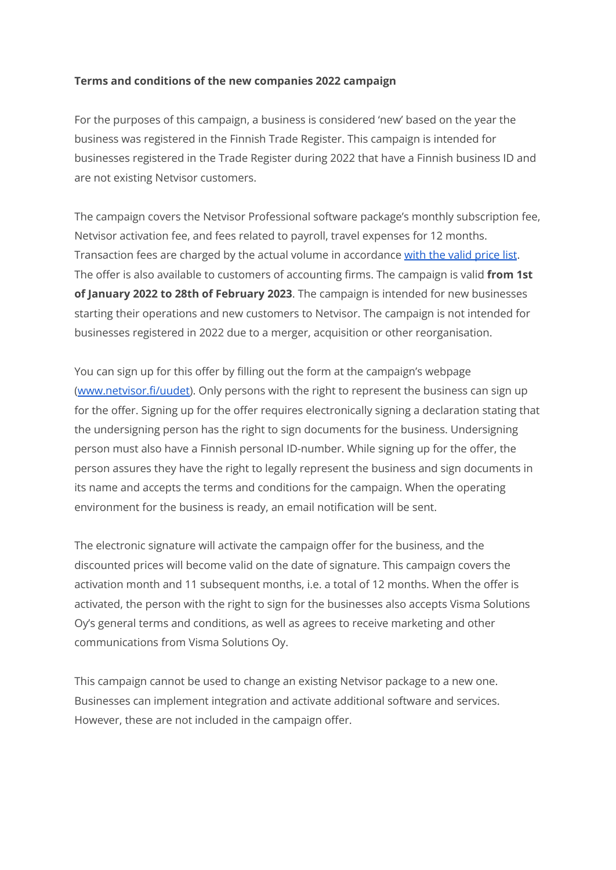### **Terms and conditions of the new companies 2022 campaign**

For the purposes of this campaign, a business is considered 'new' based on the year the business was registered in the Finnish Trade Register. This campaign is intended for businesses registered in the Trade Register during 2022 that have a Finnish business ID and are not existing Netvisor customers.

The campaign covers the Netvisor Professional software package's monthly subscription fee, Netvisor activation fee, and fees related to payroll, travel expenses for 12 months. Transaction fees are charged by the actual volume in accordance [with the valid price list](https://netvisor.fi/netvisor-pricelist-direct.pdf). The offer is also available to customers of accounting firms. The campaign is valid **from 1st of January 2022 to 28th of February 2023**. The campaign is intended for new businesses starting their operations and new customers to Netvisor. The campaign is not intended for businesses registered in 2022 due to a merger, acquisition or other reorganisation.

You can sign up for this offer by filling out the form at the campaign's webpage [\(www.netvisor.fi/uudet\)](http://www.netvisor.fi/uudet). Only persons with the right to represent the business can sign up for the offer. Signing up for the offer requires electronically signing a declaration stating that the undersigning person has the right to sign documents for the business. Undersigning person must also have a Finnish personal ID-number. While signing up for the offer, the person assures they have the right to legally represent the business and sign documents in its name and accepts the terms and conditions for the campaign. When the operating environment for the business is ready, an email notification will be sent.

The electronic signature will activate the campaign offer for the business, and the discounted prices will become valid on the date of signature. This campaign covers the activation month and 11 subsequent months, i.e. a total of 12 months. When the offer is activated, the person with the right to sign for the businesses also accepts Visma Solutions Oy's general terms and conditions, as well as agrees to receive marketing and other communications from Visma Solutions Oy.

This campaign cannot be used to change an existing Netvisor package to a new one. Businesses can implement integration and activate additional software and services. However, these are not included in the campaign offer.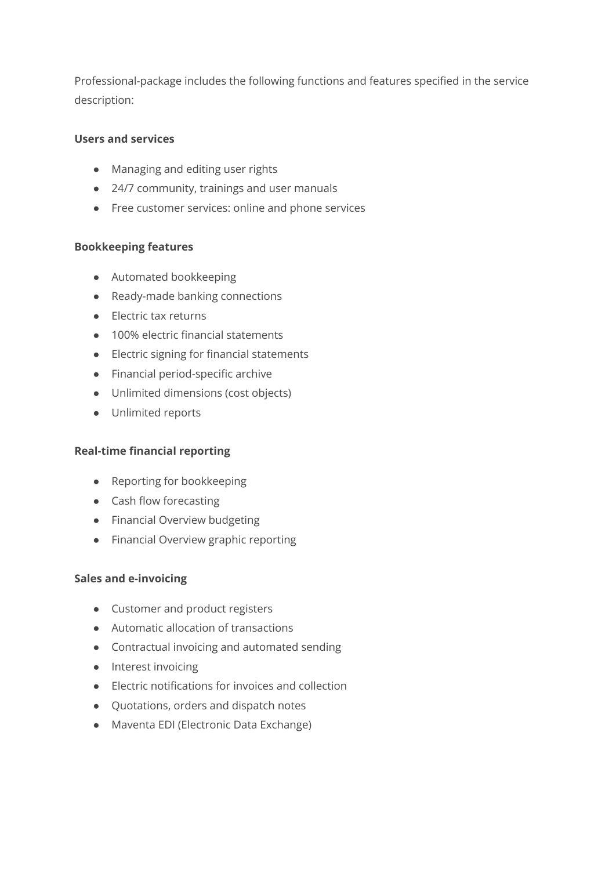Professional-package includes the following functions and features specified in the service description:

# **Users and services**

- Managing and editing user rights
- 24/7 community, trainings and user manuals
- Free customer services: online and phone services

## **Bookkeeping features**

- Automated bookkeeping
- Ready-made banking connections
- Electric tax returns
- 100% electric financial statements
- Electric signing for financial statements
- Financial period-specific archive
- Unlimited dimensions (cost objects)
- Unlimited reports

## **Real-time financial reporting**

- Reporting for bookkeeping
- Cash flow forecasting
- Financial Overview budgeting
- Financial Overview graphic reporting

## **Sales and e-invoicing**

- Customer and product registers
- Automatic allocation of transactions
- Contractual invoicing and automated sending
- Interest invoicing
- Electric notifications for invoices and collection
- Quotations, orders and dispatch notes
- Maventa EDI (Electronic Data Exchange)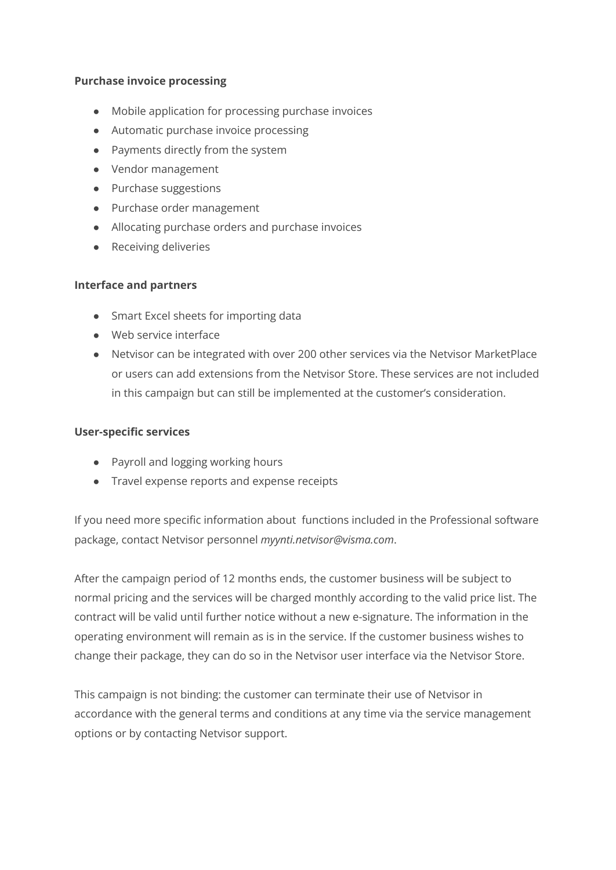#### **Purchase invoice processing**

- Mobile application for processing purchase invoices
- Automatic purchase invoice processing
- Payments directly from the system
- Vendor management
- Purchase suggestions
- Purchase order management
- Allocating purchase orders and purchase invoices
- Receiving deliveries

#### **Interface and partners**

- Smart Excel sheets for importing data
- Web service interface
- Netvisor can be integrated with over 200 other services via the Netvisor MarketPlace or users can add extensions from the Netvisor Store. These services are not included in this campaign but can still be implemented at the customer's consideration.

#### **User-specific services**

- Payroll and logging working hours
- Travel expense reports and expense receipts

If you need more specific information about functions included in the Professional software package, contact Netvisor personnel *myynti.netvisor@visma.com*.

After the campaign period of 12 months ends, the customer business will be subject to normal pricing and the services will be charged monthly according to the valid price list. The contract will be valid until further notice without a new e-signature. The information in the operating environment will remain as is in the service. If the customer business wishes to change their package, they can do so in the Netvisor user interface via the Netvisor Store.

This campaign is not binding: the customer can terminate their use of Netvisor in accordance with the general terms and conditions at any time via the service management options or by contacting Netvisor support.